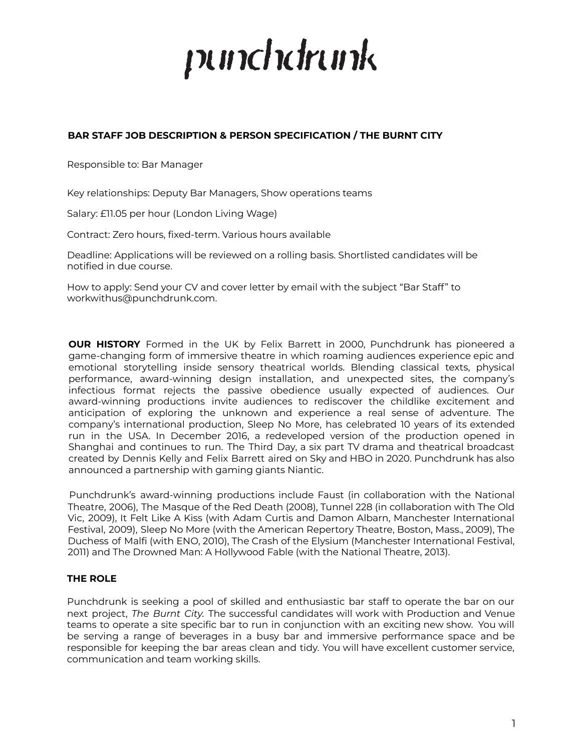# punchdrunk

# **BAR STAFF JOB DESCRIPTION & PERSON SPECIFICATION / THE BURNT CITY**

Responsible to: Bar Manager

Key relationships: Deputy Bar Managers, Show operations teams

Salary: £11.05 per hour (London Living Wage)

Contract: Zero hours, fixed-term. Various hours available

Deadline: Applications will be reviewed on a rolling basis. Shortlisted candidates will be notified in due course.

How to apply: Send your CV and cover letter by email with the subject "Bar Staff" to workwithus@punchdrunk.com.

**OUR HISTORY** Formed in the UK by Felix Barrett in 2000, Punchdrunk has pioneered a game-changing form of immersive theatre in which roaming audiences experience epic and emotional storytelling inside sensory theatrical worlds. Blending classical texts, physical performance, award-winning design installation, and unexpected sites, the company's infectious format rejects the passive obedience usually expected of audiences. Our award-winning productions invite audiences to rediscover the childlike excitement and anticipation of exploring the unknown and experience a real sense of adventure. The company's international production, Sleep No More, has celebrated 10 years of its extended run in the USA. In December 2016, a redeveloped version of the production opened in Shanghai and continues to run. The Third Day, a six part TV drama and theatrical broadcast created by Dennis Kelly and Felix Barrett aired on Sky and HBO in 2020. Punchdrunk has also announced a partnership with gaming giants Niantic.

Punchdrunk's award-winning productions include Faust (in collaboration with the National Theatre, 2006), The Masque of the Red Death (2008), Tunnel 228 (in collaboration with The Old Vic, 2009), It Felt Like A Kiss (with Adam Curtis and Damon Albarn, Manchester International Festival, 2009), Sleep No More (with the American Repertory Theatre, Boston, Mass., 2009), The Duchess of Malfi (with ENO, 2010), The Crash of the Elysium (Manchester International Festival, 2011) and The Drowned Man: A Hollywood Fable (with the National Theatre, 2013).

## **THE ROLE**

Punchdrunk is seeking a pool of skilled and enthusiastic bar staff to operate the bar on our next project, *The Burnt City.* The successful candidates will work with Production and Venue teams to operate a site specific bar to run in conjunction with an exciting new show. You will be serving a range of beverages in a busy bar and immersive performance space and be responsible for keeping the bar areas clean and tidy. You will have excellent customer service, communication and team working skills.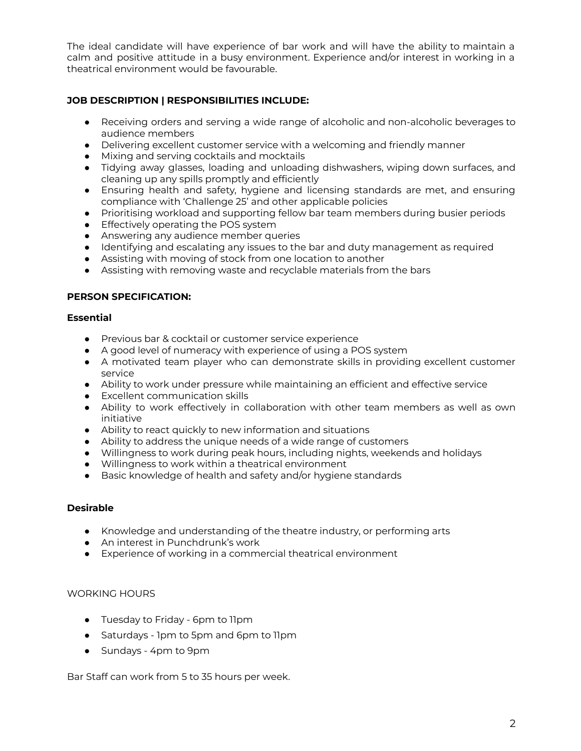The ideal candidate will have experience of bar work and will have the ability to maintain a calm and positive attitude in a busy environment. Experience and/or interest in working in a theatrical environment would be favourable.

# **JOB DESCRIPTION | RESPONSIBILITIES INCLUDE:**

- Receiving orders and serving a wide range of alcoholic and non-alcoholic beverages to audience members
- Delivering excellent customer service with a welcoming and friendly manner
- Mixing and serving cocktails and mocktails
- Tidying away glasses, loading and unloading dishwashers, wiping down surfaces, and cleaning up any spills promptly and efficiently
- Ensuring health and safety, hygiene and licensing standards are met, and ensuring compliance with 'Challenge 25' and other applicable policies
- Prioritising workload and supporting fellow bar team members during busier periods
- **•** Effectively operating the POS system
- Answering any audience member queries
- Identifying and escalating any issues to the bar and duty management as required
- Assisting with moving of stock from one location to another
- Assisting with removing waste and recyclable materials from the bars

#### **PERSON SPECIFICATION:**

#### **Essential**

- Previous bar & cocktail or customer service experience
- A good level of numeracy with experience of using a POS system
- A motivated team player who can demonstrate skills in providing excellent customer service
- Ability to work under pressure while maintaining an efficient and effective service
- Excellent communication skills
- Ability to work effectively in collaboration with other team members as well as own initiative
- Ability to react quickly to new information and situations
- Ability to address the unique needs of a wide range of customers
- Willingness to work during peak hours, including nights, weekends and holidays
- Willingness to work within a theatrical environment
- Basic knowledge of health and safety and/or hygiene standards

#### **Desirable**

- **●** Knowledge and understanding of the theatre industry, or performing arts
- **●** An interest in Punchdrunk's work
- **●** Experience of working in a commercial theatrical environment

## WORKING HOURS

- Tuesday to Friday 6pm to 11pm
- Saturdays 1pm to 5pm and 6pm to 11pm
- Sundays 4pm to 9pm

Bar Staff can work from 5 to 35 hours per week.